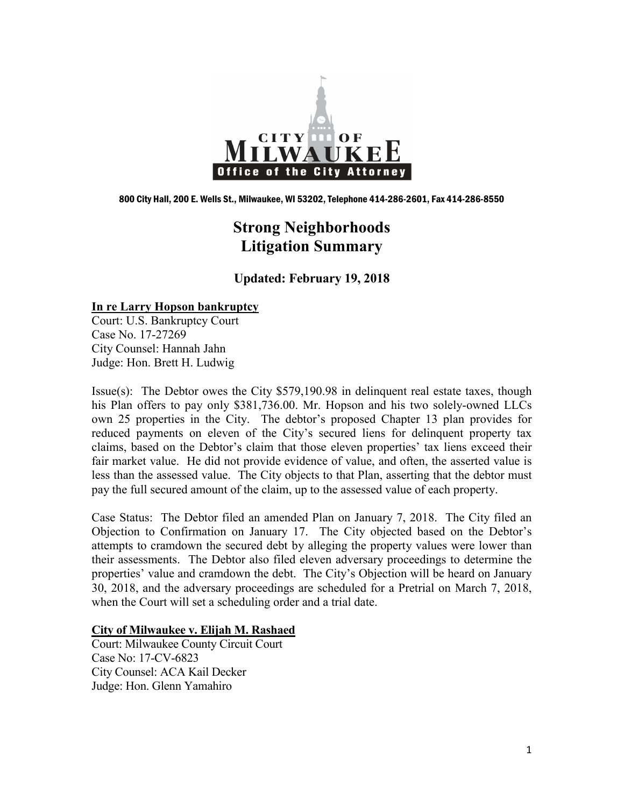

800 City Hall, 200 E. Wells St., Milwaukee, WI 53202, Telephone 414-286-2601, Fax 414-286-8550

# **Strong Neighborhoods Litigation Summary**

**Updated: February 19, 2018**

#### **In re Larry Hopson bankruptcy**

Court: U.S. Bankruptcy Court Case No. 17-27269 City Counsel: Hannah Jahn Judge: Hon. Brett H. Ludwig

Issue(s): The Debtor owes the City \$579,190.98 in delinquent real estate taxes, though his Plan offers to pay only \$381,736.00. Mr. Hopson and his two solely-owned LLCs own 25 properties in the City. The debtor's proposed Chapter 13 plan provides for reduced payments on eleven of the City's secured liens for delinquent property tax claims, based on the Debtor's claim that those eleven properties' tax liens exceed their fair market value. He did not provide evidence of value, and often, the asserted value is less than the assessed value. The City objects to that Plan, asserting that the debtor must pay the full secured amount of the claim, up to the assessed value of each property.

Case Status: The Debtor filed an amended Plan on January 7, 2018. The City filed an Objection to Confirmation on January 17. The City objected based on the Debtor's attempts to cramdown the secured debt by alleging the property values were lower than their assessments. The Debtor also filed eleven adversary proceedings to determine the properties' value and cramdown the debt. The City's Objection will be heard on January 30, 2018, and the adversary proceedings are scheduled for a Pretrial on March 7, 2018, when the Court will set a scheduling order and a trial date.

#### **City of Milwaukee v. Elijah M. Rashaed**

Court: Milwaukee County Circuit Court Case No: 17-CV-6823 City Counsel: ACA Kail Decker Judge: Hon. Glenn Yamahiro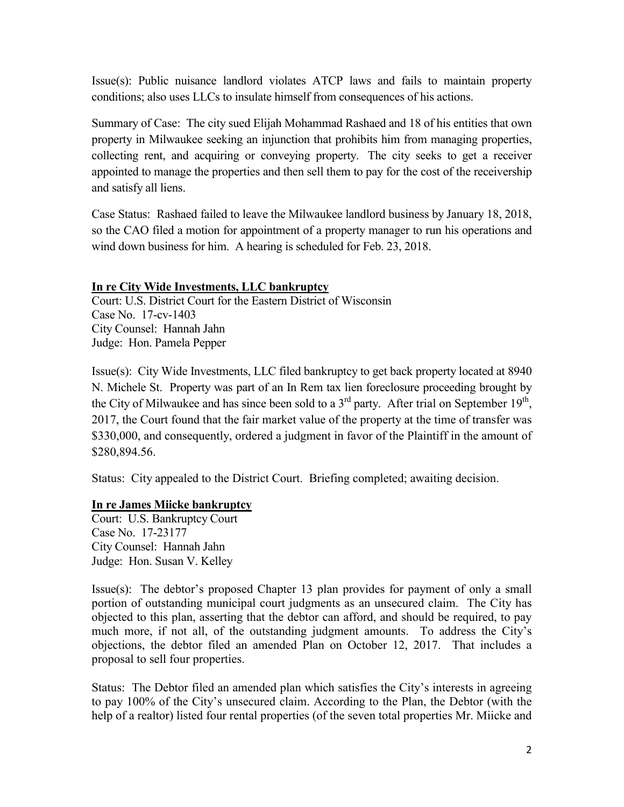Issue(s): Public nuisance landlord violates ATCP laws and fails to maintain property conditions; also uses LLCs to insulate himself from consequences of his actions.

Summary of Case: The city sued Elijah Mohammad Rashaed and 18 of his entities that own property in Milwaukee seeking an injunction that prohibits him from managing properties, collecting rent, and acquiring or conveying property. The city seeks to get a receiver appointed to manage the properties and then sell them to pay for the cost of the receivership and satisfy all liens.

Case Status: Rashaed failed to leave the Milwaukee landlord business by January 18, 2018, so the CAO filed a motion for appointment of a property manager to run his operations and wind down business for him. A hearing is scheduled for Feb. 23, 2018.

### **In re City Wide Investments, LLC bankruptcy**

Court: U.S. District Court for the Eastern District of Wisconsin Case No. 17-cv-1403 City Counsel: Hannah Jahn Judge: Hon. Pamela Pepper

Issue(s): City Wide Investments, LLC filed bankruptcy to get back property located at 8940 N. Michele St. Property was part of an In Rem tax lien foreclosure proceeding brought by the City of Milwaukee and has since been sold to a 3<sup>rd</sup> party. After trial on September 19<sup>th</sup>, 2017, the Court found that the fair market value of the property at the time of transfer was \$330,000, and consequently, ordered a judgment in favor of the Plaintiff in the amount of \$280,894.56.

Status: City appealed to the District Court. Briefing completed; awaiting decision.

## **In re James Miicke bankruptcy**

Court: U.S. Bankruptcy Court Case No. 17-23177 City Counsel: Hannah Jahn Judge: Hon. Susan V. Kelley

Issue(s): The debtor's proposed Chapter 13 plan provides for payment of only a small portion of outstanding municipal court judgments as an unsecured claim. The City has objected to this plan, asserting that the debtor can afford, and should be required, to pay much more, if not all, of the outstanding judgment amounts. To address the City's objections, the debtor filed an amended Plan on October 12, 2017. That includes a proposal to sell four properties.

Status: The Debtor filed an amended plan which satisfies the City's interests in agreeing to pay 100% of the City's unsecured claim. According to the Plan, the Debtor (with the help of a realtor) listed four rental properties (of the seven total properties Mr. Miicke and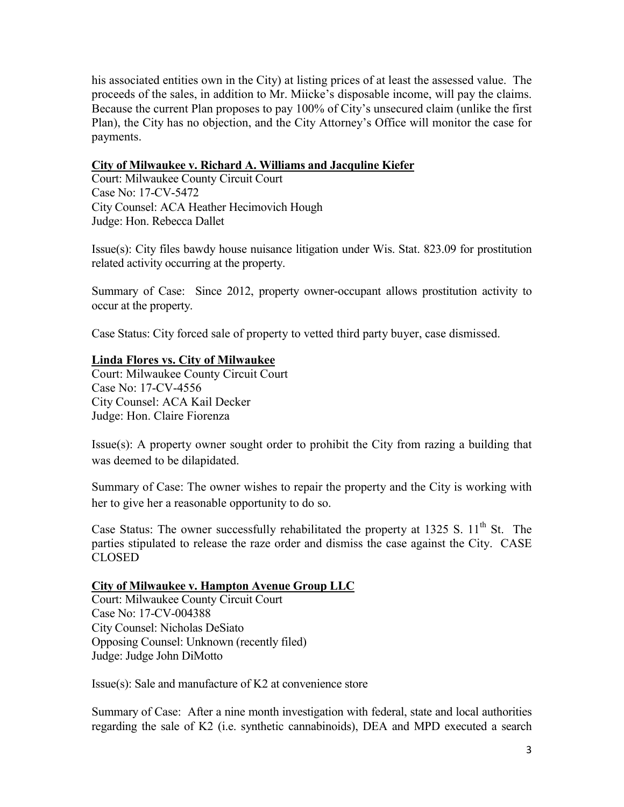his associated entities own in the City) at listing prices of at least the assessed value. The proceeds of the sales, in addition to Mr. Miicke's disposable income, will pay the claims. Because the current Plan proposes to pay 100% of City's unsecured claim (unlike the first Plan), the City has no objection, and the City Attorney's Office will monitor the case for payments.

#### **City of Milwaukee v. Richard A. Williams and Jacquline Kiefer**

Court: Milwaukee County Circuit Court Case No: 17-CV-5472 City Counsel: ACA Heather Hecimovich Hough Judge: Hon. Rebecca Dallet

Issue(s): City files bawdy house nuisance litigation under Wis. Stat. 823.09 for prostitution related activity occurring at the property.

Summary of Case: Since 2012, property owner-occupant allows prostitution activity to occur at the property.

Case Status: City forced sale of property to vetted third party buyer, case dismissed.

# **Linda Flores vs. City of Milwaukee**

Court: Milwaukee County Circuit Court Case No: 17-CV-4556 City Counsel: ACA Kail Decker Judge: Hon. Claire Fiorenza

Issue(s): A property owner sought order to prohibit the City from razing a building that was deemed to be dilapidated.

Summary of Case: The owner wishes to repair the property and the City is working with her to give her a reasonable opportunity to do so.

Case Status: The owner successfully rehabilitated the property at 1325 S.  $11<sup>th</sup>$  St. The parties stipulated to release the raze order and dismiss the case against the City. CASE CLOSED

## **City of Milwaukee v. Hampton Avenue Group LLC**

Court: Milwaukee County Circuit Court Case No: 17-CV-004388 City Counsel: Nicholas DeSiato Opposing Counsel: Unknown (recently filed) Judge: Judge John DiMotto

Issue(s): Sale and manufacture of K2 at convenience store

Summary of Case: After a nine month investigation with federal, state and local authorities regarding the sale of K2 (i.e. synthetic cannabinoids), DEA and MPD executed a search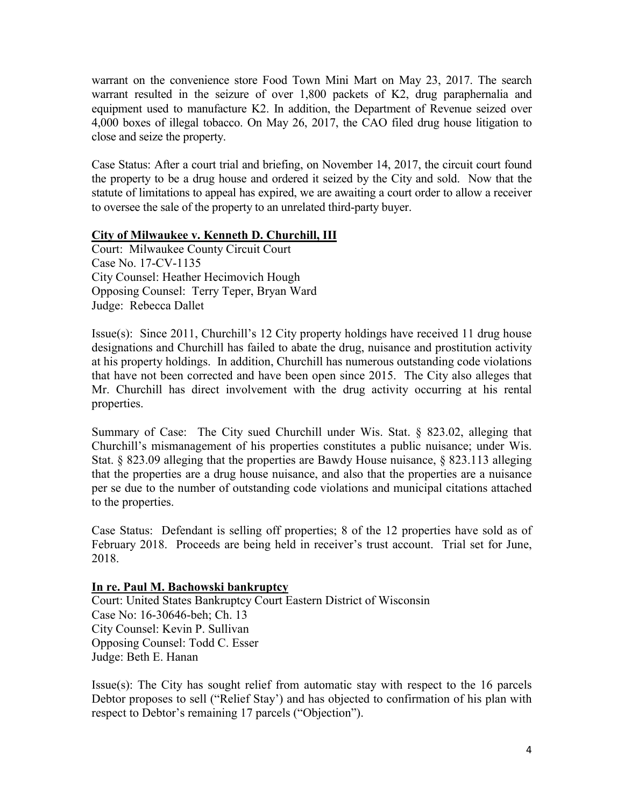warrant on the convenience store Food Town Mini Mart on May 23, 2017. The search warrant resulted in the seizure of over 1,800 packets of K2, drug paraphernalia and equipment used to manufacture K2. In addition, the Department of Revenue seized over 4,000 boxes of illegal tobacco. On May 26, 2017, the CAO filed drug house litigation to close and seize the property.

Case Status: After a court trial and briefing, on November 14, 2017, the circuit court found the property to be a drug house and ordered it seized by the City and sold. Now that the statute of limitations to appeal has expired, we are awaiting a court order to allow a receiver to oversee the sale of the property to an unrelated third-party buyer.

### **City of Milwaukee v. Kenneth D. Churchill, III**

Court: Milwaukee County Circuit Court Case No. 17-CV-1135 City Counsel: Heather Hecimovich Hough Opposing Counsel: Terry Teper, Bryan Ward Judge: Rebecca Dallet

Issue(s): Since 2011, Churchill's 12 City property holdings have received 11 drug house designations and Churchill has failed to abate the drug, nuisance and prostitution activity at his property holdings. In addition, Churchill has numerous outstanding code violations that have not been corrected and have been open since 2015. The City also alleges that Mr. Churchill has direct involvement with the drug activity occurring at his rental properties.

Summary of Case: The City sued Churchill under Wis. Stat. § 823.02, alleging that Churchill's mismanagement of his properties constitutes a public nuisance; under Wis. Stat. § 823.09 alleging that the properties are Bawdy House nuisance, § 823.113 alleging that the properties are a drug house nuisance, and also that the properties are a nuisance per se due to the number of outstanding code violations and municipal citations attached to the properties.

Case Status: Defendant is selling off properties; 8 of the 12 properties have sold as of February 2018. Proceeds are being held in receiver's trust account. Trial set for June, 2018.

## **In re. Paul M. Bachowski bankruptcy**

Court: United States Bankruptcy Court Eastern District of Wisconsin Case No: 16-30646-beh; Ch. 13 City Counsel: Kevin P. Sullivan Opposing Counsel: Todd C. Esser Judge: Beth E. Hanan

Issue(s): The City has sought relief from automatic stay with respect to the 16 parcels Debtor proposes to sell ("Relief Stay') and has objected to confirmation of his plan with respect to Debtor's remaining 17 parcels ("Objection").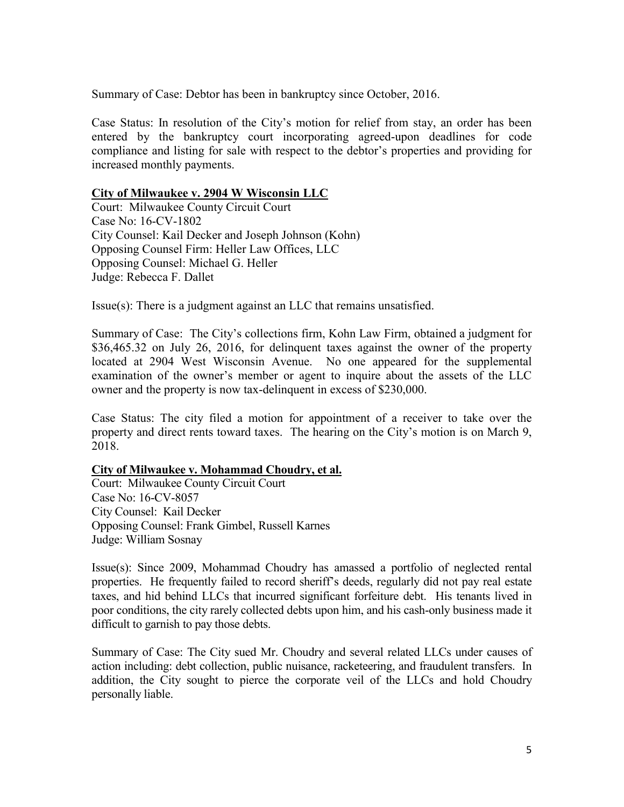Summary of Case: Debtor has been in bankruptcy since October, 2016.

Case Status: In resolution of the City's motion for relief from stay, an order has been entered by the bankruptcy court incorporating agreed-upon deadlines for code compliance and listing for sale with respect to the debtor's properties and providing for increased monthly payments.

#### **City of Milwaukee v. 2904 W Wisconsin LLC**

Court: Milwaukee County Circuit Court Case No: 16-CV-1802 City Counsel: Kail Decker and Joseph Johnson (Kohn) Opposing Counsel Firm: Heller Law Offices, LLC Opposing Counsel: Michael G. Heller Judge: Rebecca F. Dallet

Issue(s): There is a judgment against an LLC that remains unsatisfied.

Summary of Case: The City's collections firm, Kohn Law Firm, obtained a judgment for \$36,465.32 on July 26, 2016, for delinquent taxes against the owner of the property located at 2904 West Wisconsin Avenue. No one appeared for the supplemental examination of the owner's member or agent to inquire about the assets of the LLC owner and the property is now tax-delinquent in excess of \$230,000.

Case Status: The city filed a motion for appointment of a receiver to take over the property and direct rents toward taxes. The hearing on the City's motion is on March 9, 2018.

## **City of Milwaukee v. Mohammad Choudry, et al.**

Court: Milwaukee County Circuit Court Case No: 16-CV-8057 City Counsel: Kail Decker Opposing Counsel: Frank Gimbel, Russell Karnes Judge: William Sosnay

Issue(s): Since 2009, Mohammad Choudry has amassed a portfolio of neglected rental properties. He frequently failed to record sheriff's deeds, regularly did not pay real estate taxes, and hid behind LLCs that incurred significant forfeiture debt. His tenants lived in poor conditions, the city rarely collected debts upon him, and his cash-only business made it difficult to garnish to pay those debts.

Summary of Case: The City sued Mr. Choudry and several related LLCs under causes of action including: debt collection, public nuisance, racketeering, and fraudulent transfers. In addition, the City sought to pierce the corporate veil of the LLCs and hold Choudry personally liable.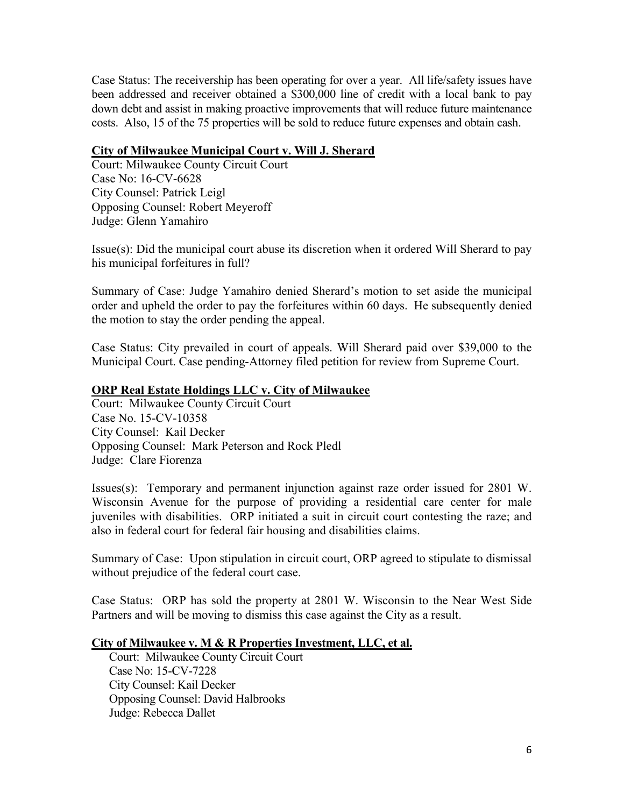Case Status: The receivership has been operating for over a year. All life/safety issues have been addressed and receiver obtained a \$300,000 line of credit with a local bank to pay down debt and assist in making proactive improvements that will reduce future maintenance costs. Also, 15 of the 75 properties will be sold to reduce future expenses and obtain cash.

### **City of Milwaukee Municipal Court v. Will J. Sherard**

Court: Milwaukee County Circuit Court Case No: 16-CV-6628 City Counsel: Patrick Leigl Opposing Counsel: Robert Meyeroff Judge: Glenn Yamahiro

Issue(s): Did the municipal court abuse its discretion when it ordered Will Sherard to pay his municipal forfeitures in full?

Summary of Case: Judge Yamahiro denied Sherard's motion to set aside the municipal order and upheld the order to pay the forfeitures within 60 days. He subsequently denied the motion to stay the order pending the appeal.

Case Status: City prevailed in court of appeals. Will Sherard paid over \$39,000 to the Municipal Court. Case pending-Attorney filed petition for review from Supreme Court.

## **ORP Real Estate Holdings LLC v. City of Milwaukee**

Court: Milwaukee County Circuit Court Case No. 15-CV-10358 City Counsel: Kail Decker Opposing Counsel: Mark Peterson and Rock Pledl Judge: Clare Fiorenza

Issues(s): Temporary and permanent injunction against raze order issued for 2801 W. Wisconsin Avenue for the purpose of providing a residential care center for male juveniles with disabilities. ORP initiated a suit in circuit court contesting the raze; and also in federal court for federal fair housing and disabilities claims.

Summary of Case: Upon stipulation in circuit court, ORP agreed to stipulate to dismissal without prejudice of the federal court case.

Case Status: ORP has sold the property at 2801 W. Wisconsin to the Near West Side Partners and will be moving to dismiss this case against the City as a result.

#### **City of Milwaukee v. M & R Properties Investment, LLC, et al.**

 Court: Milwaukee County Circuit Court Case No: 15-CV-7228 City Counsel: Kail Decker Opposing Counsel: David Halbrooks Judge: Rebecca Dallet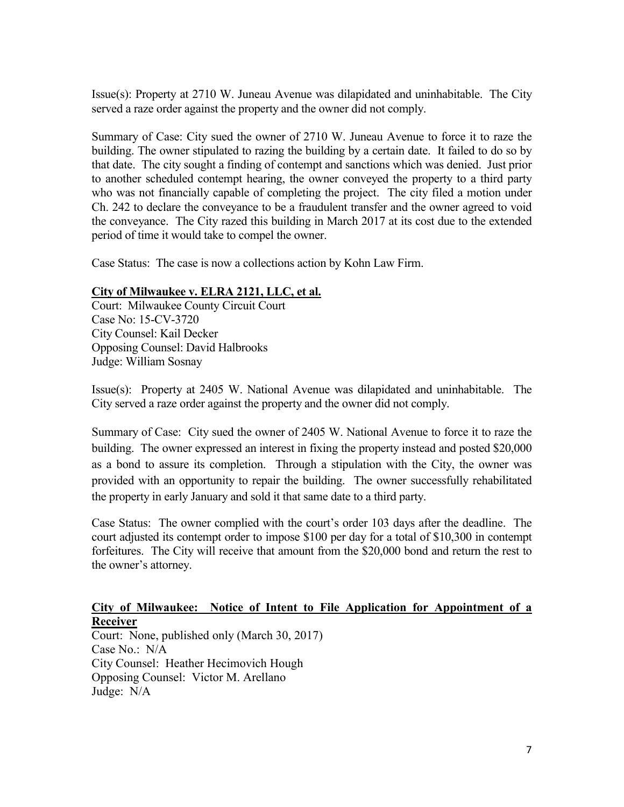Issue(s): Property at 2710 W. Juneau Avenue was dilapidated and uninhabitable. The City served a raze order against the property and the owner did not comply.

Summary of Case: City sued the owner of 2710 W. Juneau Avenue to force it to raze the building. The owner stipulated to razing the building by a certain date. It failed to do so by that date. The city sought a finding of contempt and sanctions which was denied. Just prior to another scheduled contempt hearing, the owner conveyed the property to a third party who was not financially capable of completing the project. The city filed a motion under Ch. 242 to declare the conveyance to be a fraudulent transfer and the owner agreed to void the conveyance. The City razed this building in March 2017 at its cost due to the extended period of time it would take to compel the owner.

Case Status: The case is now a collections action by Kohn Law Firm.

## **City of Milwaukee v. ELRA 2121, LLC, et al.**

Court: Milwaukee County Circuit Court Case No: 15-CV-3720 City Counsel: Kail Decker Opposing Counsel: David Halbrooks Judge: William Sosnay

Issue(s): Property at 2405 W. National Avenue was dilapidated and uninhabitable. The City served a raze order against the property and the owner did not comply.

Summary of Case: City sued the owner of 2405 W. National Avenue to force it to raze the building. The owner expressed an interest in fixing the property instead and posted \$20,000 as a bond to assure its completion. Through a stipulation with the City, the owner was provided with an opportunity to repair the building. The owner successfully rehabilitated the property in early January and sold it that same date to a third party.

Case Status: The owner complied with the court's order 103 days after the deadline. The court adjusted its contempt order to impose \$100 per day for a total of \$10,300 in contempt forfeitures. The City will receive that amount from the \$20,000 bond and return the rest to the owner's attorney.

# **City of Milwaukee: Notice of Intent to File Application for Appointment of a Receiver**

Court: None, published only (March 30, 2017) Case No.: N/A City Counsel: Heather Hecimovich Hough Opposing Counsel: Victor M. Arellano Judge: N/A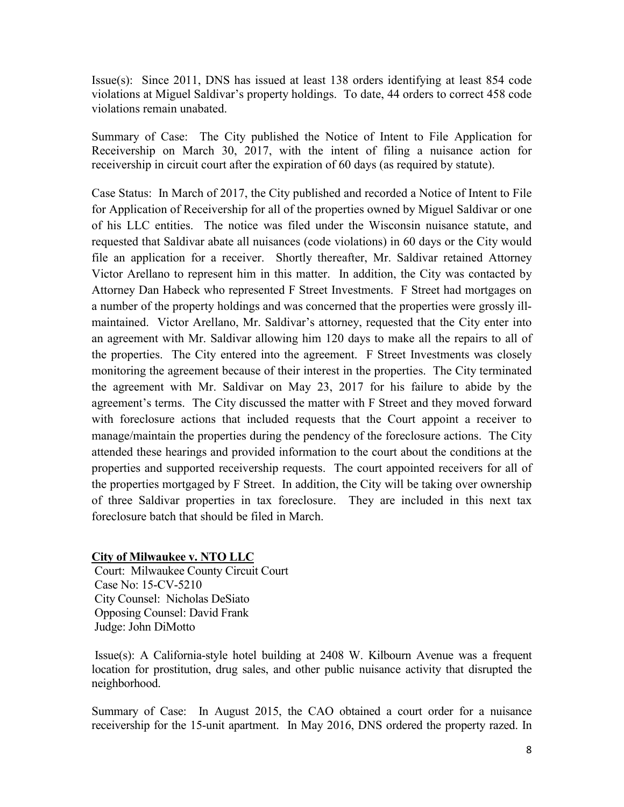Issue(s): Since 2011, DNS has issued at least 138 orders identifying at least 854 code violations at Miguel Saldivar's property holdings. To date, 44 orders to correct 458 code violations remain unabated.

Summary of Case: The City published the Notice of Intent to File Application for Receivership on March 30, 2017, with the intent of filing a nuisance action for receivership in circuit court after the expiration of 60 days (as required by statute).

Case Status: In March of 2017, the City published and recorded a Notice of Intent to File for Application of Receivership for all of the properties owned by Miguel Saldivar or one of his LLC entities. The notice was filed under the Wisconsin nuisance statute, and requested that Saldivar abate all nuisances (code violations) in 60 days or the City would file an application for a receiver. Shortly thereafter, Mr. Saldivar retained Attorney Victor Arellano to represent him in this matter. In addition, the City was contacted by Attorney Dan Habeck who represented F Street Investments. F Street had mortgages on a number of the property holdings and was concerned that the properties were grossly illmaintained. Victor Arellano, Mr. Saldivar's attorney, requested that the City enter into an agreement with Mr. Saldivar allowing him 120 days to make all the repairs to all of the properties. The City entered into the agreement. F Street Investments was closely monitoring the agreement because of their interest in the properties. The City terminated the agreement with Mr. Saldivar on May 23, 2017 for his failure to abide by the agreement's terms. The City discussed the matter with F Street and they moved forward with foreclosure actions that included requests that the Court appoint a receiver to manage/maintain the properties during the pendency of the foreclosure actions. The City attended these hearings and provided information to the court about the conditions at the properties and supported receivership requests. The court appointed receivers for all of the properties mortgaged by F Street. In addition, the City will be taking over ownership of three Saldivar properties in tax foreclosure. They are included in this next tax foreclosure batch that should be filed in March.

## **City of Milwaukee v. NTO LLC**

Court: Milwaukee County Circuit Court Case No: 15-CV-5210 City Counsel:Nicholas DeSiato Opposing Counsel: David Frank Judge: John DiMotto

Issue(s): A California-style hotel building at 2408 W. Kilbourn Avenue was a frequent location for prostitution, drug sales, and other public nuisance activity that disrupted the neighborhood.

Summary of Case: In August 2015, the CAO obtained a court order for a nuisance receivership for the 15-unit apartment. In May 2016, DNS ordered the property razed. In